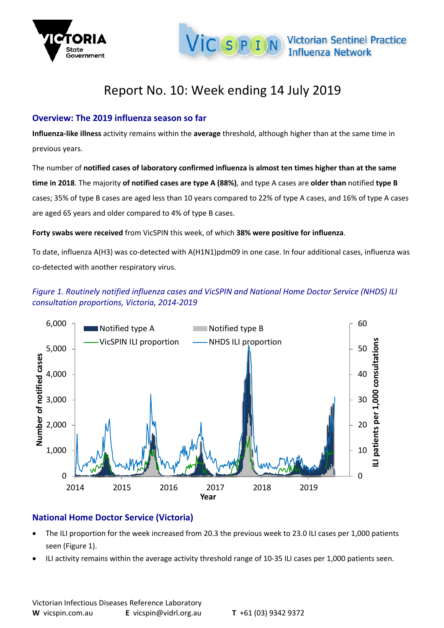

# Report No. 10: Week ending 14 July 2019

## **Overview: The 2019 influenza season so far**

**Influenza-like illness** activity remains within the **average** threshold, although higher than at the same time in previous years.

The number of **notified cases of laboratory confirmed influenza is almost ten times higher than at the same time in 2018**. The majority **of notified cases are type A (88%)**, and type A cases are **older than** notified **type B** cases; 35% of type B cases are aged less than 10 years compared to 22% of type A cases, and 16% of type A cases are aged 65 years and older compared to 4% of type B cases.

**Forty swabs were received** from VicSPIN this week, of which **38% were positive for influenza**.

To date, influenza A(H3) was co-detected with A(H1N1)pdm09 in one case. In four additional cases, influenza was co-detected with another respiratory virus.

## *Figure 1. Routinely notified influenza cases and VicSPIN and National Home Doctor Service (NHDS) ILI consultation proportions, Victoria, 2014-2019*



# **National Home Doctor Service (Victoria)**

- The ILI proportion for the week increased from 20.3 the previous week to 23.0 ILI cases per 1,000 patients seen (Figure 1).
- ILI activity remains within the average activity threshold range of 10-35 ILI cases per 1,000 patients seen.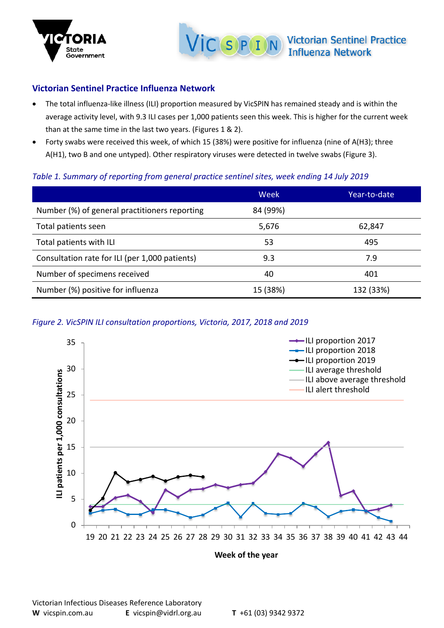

#### **Victorian Sentinel Practice Influenza Network**

- The total influenza-like illness (ILI) proportion measured by VicSPIN has remained steady and is within the average activity level, with 9.3 ILI cases per 1,000 patients seen this week. This is higher for the current week than at the same time in the last two years. (Figures 1 & 2).
- Forty swabs were received this week, of which 15 (38%) were positive for influenza (nine of A(H3); three A(H1), two B and one untyped). Other respiratory viruses were detected in twelve swabs (Figure 3).

#### *Table 1. Summary of reporting from general practice sentinel sites, week ending 14 July 2019*

|                                                | Week     | Year-to-date |
|------------------------------------------------|----------|--------------|
| Number (%) of general practitioners reporting  | 84 (99%) |              |
| Total patients seen                            | 5,676    | 62,847       |
| Total patients with ILI                        | 53       | 495          |
| Consultation rate for ILI (per 1,000 patients) | 9.3      | 7.9          |
| Number of specimens received                   | 40       | 401          |
| Number (%) positive for influenza              | 15 (38%) | 132 (33%)    |

## *Figure 2. VicSPIN ILI consultation proportions, Victoria, 2017, 2018 and 2019*